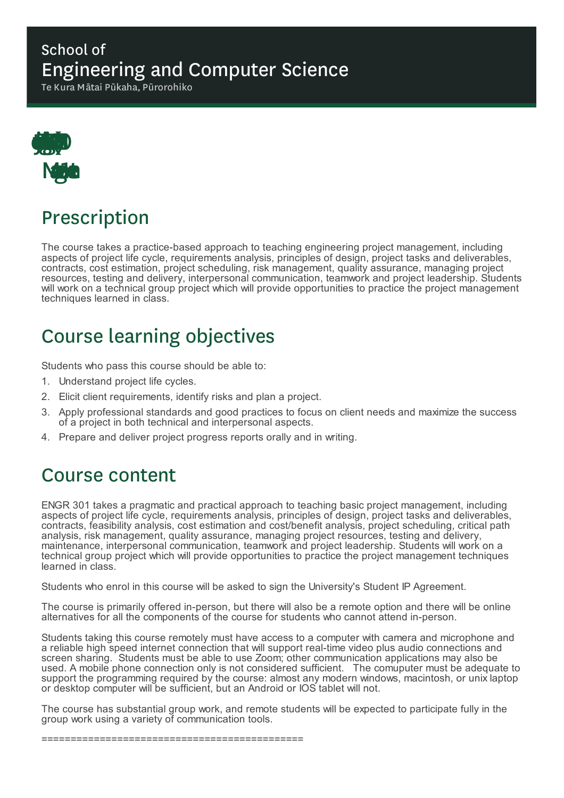### School of Engineering and Computer Science

Te Kura Mātai Pūkaha, Pūrorohiko



# Prescription

The course takes a practice-based approach to teaching engineering project management, including aspects of project life cycle, requirements analysis, principles of design, project tasks and deliverables, contracts, cost estimation, project scheduling, risk management, quality assurance, managing project resources, testing and delivery, interpersonal communication, teamwork and project leadership. Students will work on a technical group project which will provide opportunities to practice the project management techniques learned in class.

# Course learning objectives

Students who pass this course should be able to:

- 1. Understand project life cycles.
- 2. Elicit client requirements, identify risks and plan a project.
- 3. Apply professional standards and good practices to focus on client needs and maximize the success of a project in both technical and interpersonal aspects.
- 4. Prepare and deliver project progress reports orally and in writing.

### Course content

ENGR 301 takes a pragmatic and practical approach to teaching basic project management, including aspects of project life cycle, requirements analysis, principles of design, project tasks and deliverables, contracts, feasibility analysis, cost estimation and cost/benefit analysis, project scheduling, critical path analysis, risk management, quality assurance, managing project resources, testing and delivery, maintenance, interpersonal communication, teamwork and project leadership. Students will work on a technical group project which will provide opportunities to practice the project management techniques learned in class.

Students who enrol in this course will be asked to sign the University's Student IP Agreement.

The course is primarily offered in-person, but there will also be a remote option and there will be online alternatives for all the components of the course for students who cannot attend in-person.

Students taking this course remotely must have access to a computer with camera and microphone and a reliable high speed internet connection that will support real-time video plus audio connections and screen sharing. Students must be able to use Zoom; other communication applications may also be used. A mobile phone connection only is not considered sufficient. The comuputer must be adequate to support the programming required by the course: almost any modern windows, macintosh, or unix laptop or desktop computer will be sufficient, but an Android or IOS tablet will not.

The course has substantial group work, and remote students will be expected to participate fully in the group work using a variety of communication tools.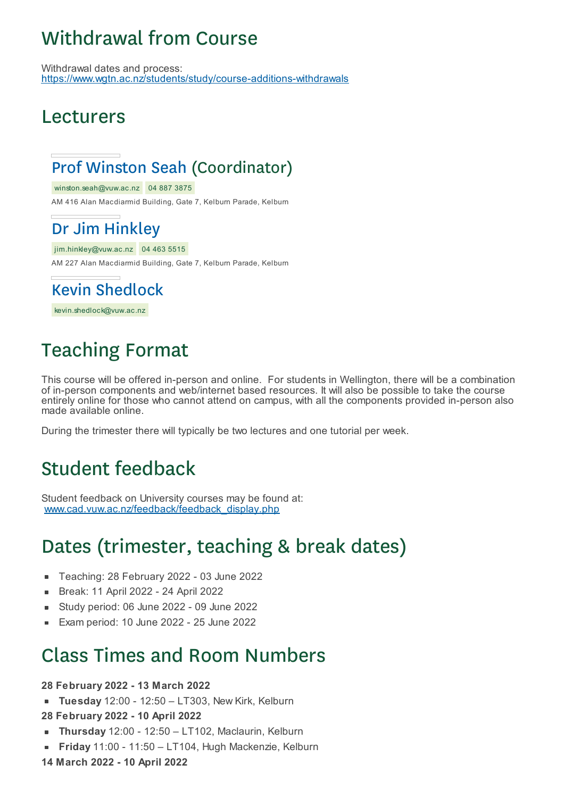# Withdrawal from Course

Withdrawal dates and process: https://www.wgtn.ac.nz/students/study/course-additions-withdrawals

### Lecturers

### Prof Winston Seah (Coordinator)

winston.seah@vuw.ac.nz 04 887 3875

AM 416 Alan Macdiarmid Building, Gate 7, Kelburn Parade, Kelburn

### Dr Jim Hinkley

jim.hinkley@vuw.ac.nz 04 463 5515 AM 227 Alan Macdiarmid Building, Gate 7, Kelburn Parade, Kelburn

Kevin Shedlock

kevin.shedlock@vuw.ac.nz

# Teaching Format

This course will be offered in-person and online. For students in Wellington, there will be a combination of in-person components and web/internet based resources. It will also be possible to take the course entirely online for those who cannot attend on campus, with all the components provided in-person also made available online.

During the trimester there will typically be two lectures and one tutorial per week.

### Student feedback

Student feedback on University courses may be found at: www.cad.vuw.ac.nz/feedback/feedback\_display.php

### Dates (trimester, teaching & break dates)

- Teaching: 28 February 2022 03 June 2022
- Break: 11 April 2022 24 April 2022  $\blacksquare$
- Study period: 06 June 2022 09 June 2022 É
- Exam period: 10 June 2022 25 June 2022

### Class Times and Room Numbers

**28 February 2022 - 13 March 2022**

**Tuesday** 12:00 - 12:50 – LT303, New Kirk, Kelburn

**28 February 2022 - 10 April 2022**

- **Thursday** 12:00 12:50 LT102, Maclaurin, Kelburn
- **Friday** 11:00 11:50 LT104, Hugh Mackenzie, Kelburn

**14 March 2022 - 10 April 2022**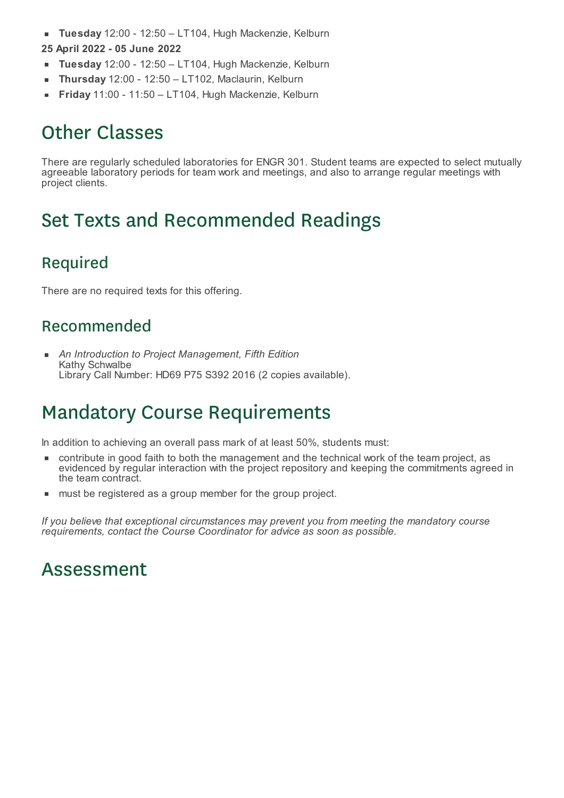- **Tuesday** 12:00 12:50 LT104, Hugh Mackenzie, Kelburn  $\blacksquare$ **25 April 2022 - 05 June 2022**
- **Tuesday** 12:00 12:50 LT104, Hugh Mackenzie, Kelburn
- **Thursday** 12:00 12:50 LT102, Maclaurin, Kelburn
- **Friday** 11:00 11:50 LT104, Hugh Mackenzie, Kelburn  $\blacksquare$

# Other Classes

There are regularly scheduled laboratories for ENGR 301. Student teams are expected to select mutually agreeable laboratory periods for team work and meetings, and also to arrange regular meetings with project clients.

# Set Texts and Recommended Readings

### Required

There are no required texts for this offering.

#### Recommended

*An Introduction to Project Management, Fifth Edition* Kathy Schwalbe Library Call Number: HD69 P75 S392 2016 (2 copies available).

### Mandatory Course Requirements

In addition to achieving an overall pass mark of at least 50%, students must:

- contribute in good faith to both the management and the technical work of the team project, as evidenced by regular interaction with the project repository and keeping the commitments agreed in the team contract.
- **nust be registered as a group member for the group project.**

*If you believe that exceptional circumstances may prevent you from meeting the mandatory course requirements, contact the Course Coordinator for advice as soon as possible.*

### Assessment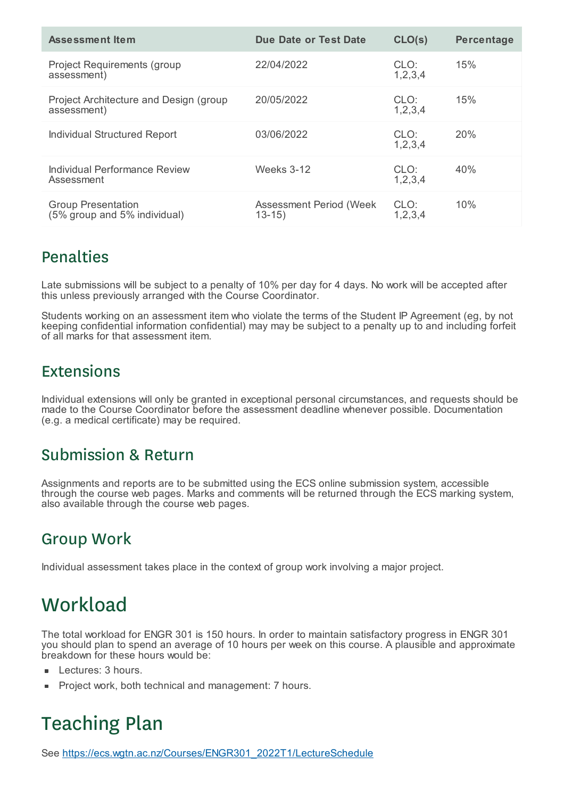| <b>Assessment Item</b>                                    | <b>Due Date or Test Date</b>         | CLO(s)             | <b>Percentage</b> |
|-----------------------------------------------------------|--------------------------------------|--------------------|-------------------|
| <b>Project Requirements (group</b><br>assessment)         | 22/04/2022                           | CLO:<br>1, 2, 3, 4 | 15%               |
| Project Architecture and Design (group<br>assessment)     | 20/05/2022                           | CLO:<br>1, 2, 3, 4 | 15%               |
| <b>Individual Structured Report</b>                       | 03/06/2022                           | CLO:<br>1,2,3,4    | <b>20%</b>        |
| Individual Performance Review<br>Assessment               | <b>Weeks 3-12</b>                    | CLO:<br>1, 2, 3, 4 | 40%               |
| <b>Group Presentation</b><br>(5% group and 5% individual) | Assessment Period (Week<br>$13 - 15$ | CLO:<br>1, 2, 3, 4 | 10%               |

#### Penalties

Late submissions will be subject to a penalty of 10% per day for 4 days. No work will be accepted after this unless previously arranged with the Course Coordinator.

Students working on an assessment item who violate the terms of the Student IP Agreement (eg, by not keeping confidential information confidential) may may be subject to a penalty up to and including forfeit of all marks for that assessment item.

#### Extensions

Individual extensions will only be granted in exceptional personal circumstances, and requests should be made to the Course Coordinator before the assessment deadline whenever possible. Documentation (e.g. a medical certificate) may be required.

#### Submission & Return

Assignments and reports are to be submitted using the ECS online submission system, accessible through the course web pages. Marks and comments will be returned through the ECS marking system, also available through the course web pages.

#### Group Work

Individual assessment takes place in the context of group work involving a major project.

# **Workload**

The total workload for ENGR 301 is 150 hours. In order to maintain satisfactory progress in ENGR 301 you should plan to spend an average of 10 hours per week on this course. A plausible and approximate breakdown for these hours would be:

- Lectures: 3 hours.
- Project work, both technical and management: 7 hours.

# Teaching Plan

See https://ecs.wgtn.ac.nz/Courses/ENGR301\_2022T1/LectureSchedule